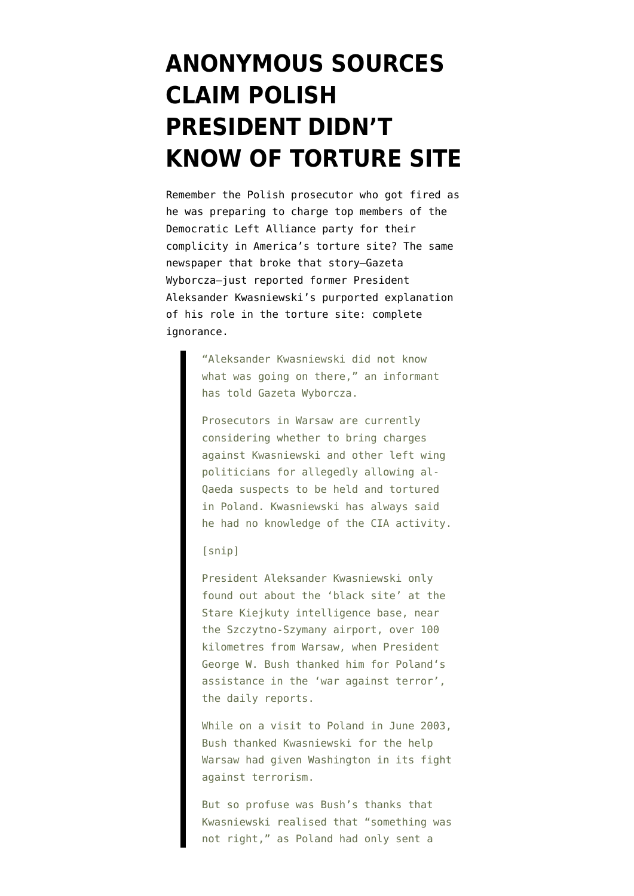## **[ANONYMOUS SOURCES](https://www.emptywheel.net/2011/06/25/anonymous-sources-claim-polish-president-didnt-know-of-torture-site/) [CLAIM POLISH](https://www.emptywheel.net/2011/06/25/anonymous-sources-claim-polish-president-didnt-know-of-torture-site/) [PRESIDENT DIDN'T](https://www.emptywheel.net/2011/06/25/anonymous-sources-claim-polish-president-didnt-know-of-torture-site/) [KNOW OF TORTURE SITE](https://www.emptywheel.net/2011/06/25/anonymous-sources-claim-polish-president-didnt-know-of-torture-site/)**

Remember the Polish prosecutor who [got fired](http://emptywheel.firedoglake.com/2011/06/03/teaching-our-polish-partners-in-torture-state-secrets/) as he was preparing to charge top members of the Democratic Left Alliance party for their complicity in America's torture site? The same newspaper that broke that story–Gazeta Wyborcza–just [reported](http://www.thenews.pl/1/10/Artykul/46559,%E2%80%98President-didnt-know-about-CIA-prison-in-Poland) former President Aleksander Kwasniewski's purported explanation of his role in the torture site: complete ignorance.

> "Aleksander Kwasniewski did not know what was going on there," an informant has told Gazeta Wyborcza.

Prosecutors in Warsaw are currently considering whether to bring charges against Kwasniewski and other left wing politicians for allegedly allowing al-Qaeda suspects to be held and tortured in Poland. Kwasniewski has always said he had no knowledge of the CIA activity.

## [snip]

President Aleksander Kwasniewski only found out about the 'black site' at the Stare Kiejkuty intelligence base, near the Szczytno-Szymany airport, over 100 kilometres from Warsaw, when President George W. Bush thanked him for Poland's assistance in the 'war against terror', the daily reports.

While on a visit to Poland in June 2003, Bush thanked Kwasniewski for the help Warsaw had given Washington in its fight against terrorism.

But so profuse was Bush's thanks that Kwasniewski realised that "something was not right," as Poland had only sent a